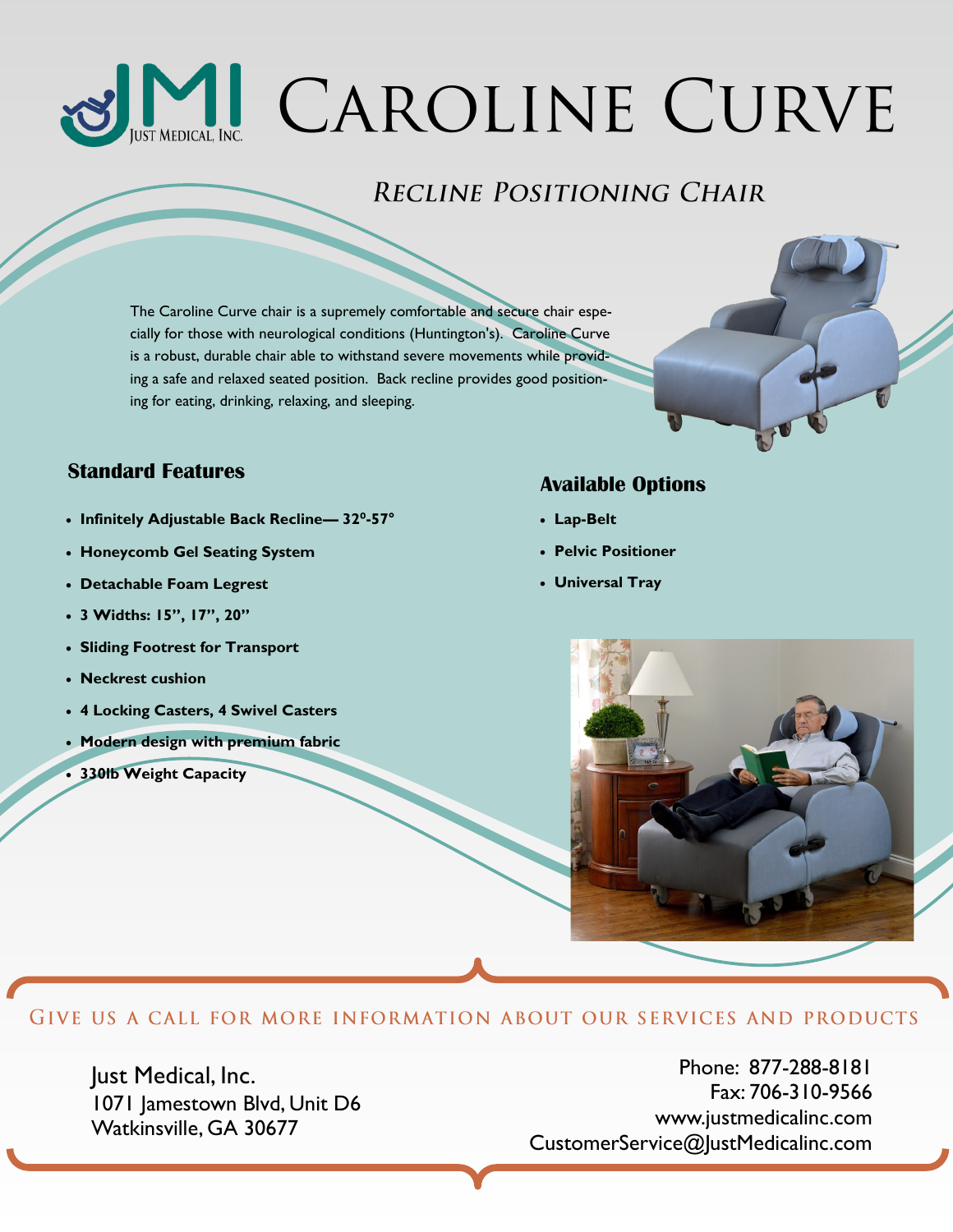# MI CAROLINE CURVE

### **RECLINE POSITIONING CHAIR**

The Caroline Curve chair is a supremely comfortable and secure chair especially for those with neurological conditions (Huntington's). Caroline Curve is a robust, durable chair able to withstand severe movements while providing a safe and relaxed seated position. Back recline provides good positioning for eating, drinking, relaxing, and sleeping.

# **Available Options Standard Features**

- **Infinitely Adjustable Back Recline— 32⁰-57°**
- **Honeycomb Gel Seating System**
- **Detachable Foam Legrest**
- **3 Widths: 15", 17", 20"**
- **Sliding Footrest for Transport**
- **Neckrest cushion**
- **4 Locking Casters, 4 Swivel Casters**
- **Modern design with premium fabric**
- **330lb Weight Capacity**

- **Lap-Belt**
- **Pelvic Positioner**
- **Universal Tray**



#### GIVE US A CALL FOR MORE INFORMATION ABOUT OUR SERVICES AND PRODUCTS

Just Medical, Inc. 1071 Jamestown Blvd, Unit D6 Watkinsville, GA 30677

Phone: 877-288-8181 Fax: 706-310-9566 www.justmedicalinc.com CustomerService@JustMedicalinc.com